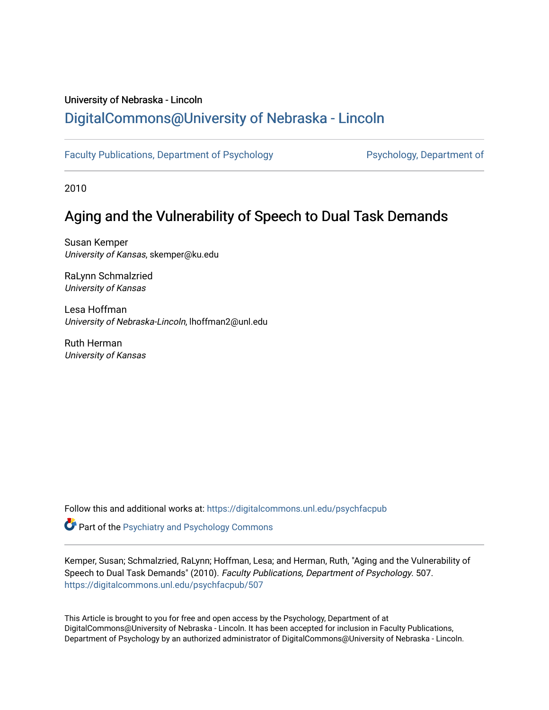## University of Nebraska - Lincoln [DigitalCommons@University of Nebraska - Lincoln](https://digitalcommons.unl.edu/)

[Faculty Publications, Department of Psychology](https://digitalcommons.unl.edu/psychfacpub) Psychology, Department of

2010

## Aging and the Vulnerability of Speech to Dual Task Demands

Susan Kemper University of Kansas, skemper@ku.edu

RaLynn Schmalzried University of Kansas

Lesa Hoffman University of Nebraska-Lincoln, lhoffman2@unl.edu

Ruth Herman University of Kansas

Follow this and additional works at: [https://digitalcommons.unl.edu/psychfacpub](https://digitalcommons.unl.edu/psychfacpub?utm_source=digitalcommons.unl.edu%2Fpsychfacpub%2F507&utm_medium=PDF&utm_campaign=PDFCoverPages) 

**Part of the Psychiatry and Psychology Commons** 

Kemper, Susan; Schmalzried, RaLynn; Hoffman, Lesa; and Herman, Ruth, "Aging and the Vulnerability of Speech to Dual Task Demands" (2010). Faculty Publications, Department of Psychology. 507. [https://digitalcommons.unl.edu/psychfacpub/507](https://digitalcommons.unl.edu/psychfacpub/507?utm_source=digitalcommons.unl.edu%2Fpsychfacpub%2F507&utm_medium=PDF&utm_campaign=PDFCoverPages) 

This Article is brought to you for free and open access by the Psychology, Department of at DigitalCommons@University of Nebraska - Lincoln. It has been accepted for inclusion in Faculty Publications, Department of Psychology by an authorized administrator of DigitalCommons@University of Nebraska - Lincoln.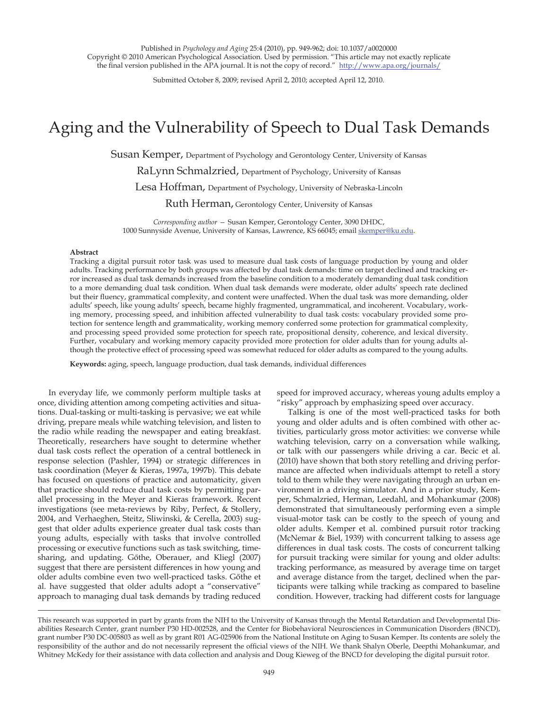Published in *Psychology and Aging* 25:4 (2010), pp. 949-962; doi: 10.1037/a0020000 Copyright © 2010 American Psychological Association. Used by permission. "This article may not exactly replicate the final version published in the APA journal. It is not the copy of record." http://www.apa.org/journals/

Submitted October 8, 2009; revised April 2, 2010; accepted April 12, 2010.

# Aging and the Vulnerability of Speech to Dual Task Demands

Susan Kemper, Department of Psychology and Gerontology Center, University of Kansas

RaLynn Schmalzried, Department of Psychology, University of Kansas

Lesa Hoffman, Department of Psychology, University of Nebraska-Lincoln

Ruth Herman, Gerontology Center, University of Kansas

*Corresponding author —* Susan Kemper, Gerontology Center, 3090 DHDC, 1000 Sunnyside Avenue, University of Kansas, Lawrence, KS 66045; email skemper@ku.edu.

### **Abstract**

Tracking a digital pursuit rotor task was used to measure dual task costs of language production by young and older adults. Tracking performance by both groups was affected by dual task demands: time on target declined and tracking error increased as dual task demands increased from the baseline condition to a moderately demanding dual task condition to a more demanding dual task condition. When dual task demands were moderate, older adults' speech rate declined but their fluency, grammatical complexity, and content were unaffected. When the dual task was more demanding, older adults' speech, like young adults' speech, became highly fragmented, ungrammatical, and incoherent. Vocabulary, working memory, processing speed, and inhibition affected vulnerability to dual task costs: vocabulary provided some protection for sentence length and grammaticality, working memory conferred some protection for grammatical complexity, and processing speed provided some protection for speech rate, propositional density, coherence, and lexical diversity. Further, vocabulary and working memory capacity provided more protection for older adults than for young adults although the protective effect of processing speed was somewhat reduced for older adults as compared to the young adults.

**Keywords:** aging, speech, language production, dual task demands, individual differences

In everyday life, we commonly perform multiple tasks at once, dividing attention among competing activities and situations. Dual-tasking or multi-tasking is pervasive; we eat while driving, prepare meals while watching television, and listen to the radio while reading the newspaper and eating breakfast. Theoretically, researchers have sought to determine whether dual task costs reflect the operation of a central bottleneck in response selection (Pashler, 1994) or strategic differences in task coordination (Meyer & Kieras, 1997a, 1997b). This debate has focused on questions of practice and automaticity, given that practice should reduce dual task costs by permitting parallel processing in the Meyer and Kieras framework. Recent investigations (see meta-reviews by Riby, Perfect, & Stollery, 2004, and Verhaeghen, Steitz, Sliwinski, & Cerella, 2003) suggest that older adults experience greater dual task costs than young adults, especially with tasks that involve controlled processing or executive functions such as task switching, timesharing, and updating. Gőthe, Oberauer, and Kliegl (2007) suggest that there are persistent differences in how young and older adults combine even two well-practiced tasks. Gőthe et al. have suggested that older adults adopt a "conservative" approach to managing dual task demands by trading reduced

speed for improved accuracy, whereas young adults employ a "risky" approach by emphasizing speed over accuracy.

Talking is one of the most well-practiced tasks for both young and older adults and is often combined with other activities, particularly gross motor activities: we converse while watching television, carry on a conversation while walking, or talk with our passengers while driving a car. Becic et al. (2010) have shown that both story retelling and driving performance are affected when individuals attempt to retell a story told to them while they were navigating through an urban environment in a driving simulator. And in a prior study, Kemper, Schmalzried, Herman, Leedahl, and Mohankumar (2008) demonstrated that simultaneously performing even a simple visual-motor task can be costly to the speech of young and older adults. Kemper et al. combined pursuit rotor tracking (McNemar & Biel, 1939) with concurrent talking to assess age differences in dual task costs. The costs of concurrent talking for pursuit tracking were similar for young and older adults: tracking performance, as measured by average time on target and average distance from the target, declined when the participants were talking while tracking as compared to baseline condition. However, tracking had different costs for language

This research was supported in part by grants from the NIH to the University of Kansas through the Mental Retardation and Developmental Disabilities Research Center, grant number P30 HD-002528, and the Center for Biobehavioral Neurosciences in Communication Disorders (BNCD), grant number P30 DC-005803 as well as by grant R01 AG-025906 from the National Institute on Aging to Susan Kemper. Its contents are solely the responsibility of the author and do not necessarily represent the official views of the NIH. We thank Shalyn Oberle, Deepthi Mohankumar, and Whitney McKedy for their assistance with data collection and analysis and Doug Kieweg of the BNCD for developing the digital pursuit rotor.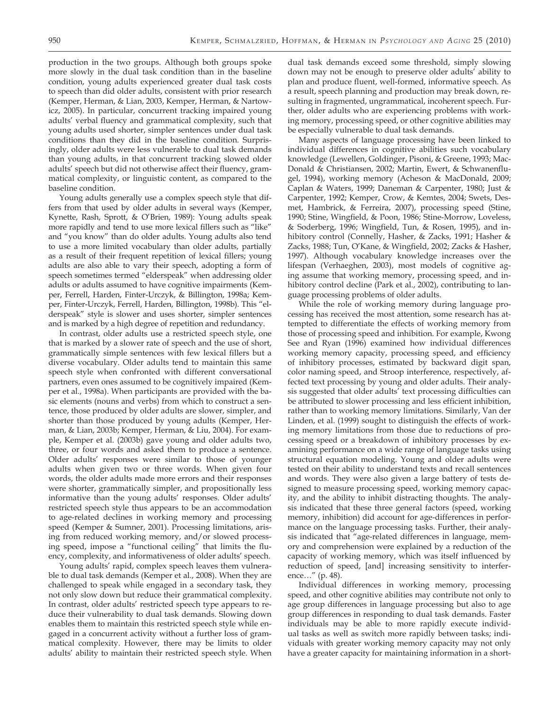production in the two groups. Although both groups spoke more slowly in the dual task condition than in the baseline condition, young adults experienced greater dual task costs to speech than did older adults, consistent with prior research (Kemper, Herman, & Lian, 2003, Kemper, Herman, & Nartowicz, 2005). In particular, concurrent tracking impaired young adults' verbal fluency and grammatical complexity, such that young adults used shorter, simpler sentences under dual task conditions than they did in the baseline condition. Surprisingly, older adults were less vulnerable to dual task demands than young adults, in that concurrent tracking slowed older adults' speech but did not otherwise affect their fluency, grammatical complexity, or linguistic content, as compared to the baseline condition.

Young adults generally use a complex speech style that differs from that used by older adults in several ways (Kemper, Kynette, Rash, Sprott, & O'Brien, 1989): Young adults speak more rapidly and tend to use more lexical fillers such as "like" and "you know" than do older adults. Young adults also tend to use a more limited vocabulary than older adults, partially as a result of their frequent repetition of lexical fillers; young adults are also able to vary their speech, adopting a form of speech sometimes termed "elderspeak" when addressing older adults or adults assumed to have cognitive impairments (Kemper, Ferrell, Harden, Finter-Urczyk, & Billington, 1998a; Kemper, Finter-Urczyk, Ferrell, Harden, Billington, 1998b). This "elderspeak" style is slower and uses shorter, simpler sentences and is marked by a high degree of repetition and redundancy.

In contrast, older adults use a restricted speech style, one that is marked by a slower rate of speech and the use of short, grammatically simple sentences with few lexical fillers but a diverse vocabulary. Older adults tend to maintain this same speech style when confronted with different conversational partners, even ones assumed to be cognitively impaired (Kemper et al., 1998a). When participants are provided with the basic elements (nouns and verbs) from which to construct a sentence, those produced by older adults are slower, simpler, and shorter than those produced by young adults (Kemper, Herman, & Lian, 2003b; Kemper, Herman, & Liu, 2004). For example, Kemper et al. (2003b) gave young and older adults two, three, or four words and asked them to produce a sentence. Older adults' responses were similar to those of younger adults when given two or three words. When given four words, the older adults made more errors and their responses were shorter, grammatically simpler, and propositionally less informative than the young adults' responses. Older adults' restricted speech style thus appears to be an accommodation to age-related declines in working memory and processing speed (Kemper & Sumner, 2001). Processing limitations, arising from reduced working memory, and/or slowed processing speed, impose a "functional ceiling" that limits the fluency, complexity, and informativeness of older adults' speech.

Young adults' rapid, complex speech leaves them vulnerable to dual task demands (Kemper et al., 2008). When they are challenged to speak while engaged in a secondary task, they not only slow down but reduce their grammatical complexity. In contrast, older adults' restricted speech type appears to reduce their vulnerability to dual task demands. Slowing down enables them to maintain this restricted speech style while engaged in a concurrent activity without a further loss of grammatical complexity. However, there may be limits to older adults' ability to maintain their restricted speech style. When dual task demands exceed some threshold, simply slowing down may not be enough to preserve older adults' ability to plan and produce fluent, well-formed, informative speech. As a result, speech planning and production may break down, resulting in fragmented, ungrammatical, incoherent speech. Further, older adults who are experiencing problems with working memory, processing speed, or other cognitive abilities may be especially vulnerable to dual task demands.

Many aspects of language processing have been linked to individual differences in cognitive abilities such vocabulary knowledge (Lewellen, Goldinger, Pisoni, & Greene, 1993; Mac-Donald & Christiansen, 2002; Martin, Ewert, & Schwanenflugel, 1994), working memory (Acheson & MacDonald, 2009; Caplan & Waters, 1999; Daneman & Carpenter, 1980; Just & Carpenter, 1992; Kemper, Crow, & Kemtes, 2004; Swets, Desmet, Hambrick, & Ferreira, 2007), processing speed (Stine, 1990; Stine, Wingfield, & Poon, 1986; Stine-Morrow, Loveless, & Soderberg, 1996; Wingfield, Tun, & Rosen, 1995), and inhibitory control (Connelly, Hasher, & Zacks, 1991; Hasher & Zacks, 1988; Tun, O'Kane, & Wingfield, 2002; Zacks & Hasher, 1997). Although vocabulary knowledge increases over the lifespan (Verhaeghen, 2003), most models of cognitive aging assume that working memory, processing speed, and inhibitory control decline (Park et al., 2002), contributing to language processing problems of older adults.

While the role of working memory during language processing has received the most attention, some research has attempted to differentiate the effects of working memory from those of processing speed and inhibition. For example, Kwong See and Ryan (1996) examined how individual differences working memory capacity, processing speed, and efficiency of inhibitory processes, estimated by backward digit span, color naming speed, and Stroop interference, respectively, affected text processing by young and older adults. Their analysis suggested that older adults' text processing difficulties can be attributed to slower processing and less efficient inhibition, rather than to working memory limitations. Similarly, Van der Linden, et al. (1999) sought to distinguish the effects of working memory limitations from those due to reductions of processing speed or a breakdown of inhibitory processes by examining performance on a wide range of language tasks using structural equation modeling. Young and older adults were tested on their ability to understand texts and recall sentences and words. They were also given a large battery of tests designed to measure processing speed, working memory capacity, and the ability to inhibit distracting thoughts. The analysis indicated that these three general factors (speed, working memory, inhibition) did account for age-differences in performance on the language processing tasks. Further, their analysis indicated that "age-related differences in language, memory and comprehension were explained by a reduction of the capacity of working memory, which was itself influenced by reduction of speed, [and] increasing sensitivity to interference…" (p. 48).

Individual differences in working memory, processing speed, and other cognitive abilities may contribute not only to age group differences in language processing but also to age group differences in responding to dual task demands. Faster individuals may be able to more rapidly execute individual tasks as well as switch more rapidly between tasks; individuals with greater working memory capacity may not only have a greater capacity for maintaining information in a short-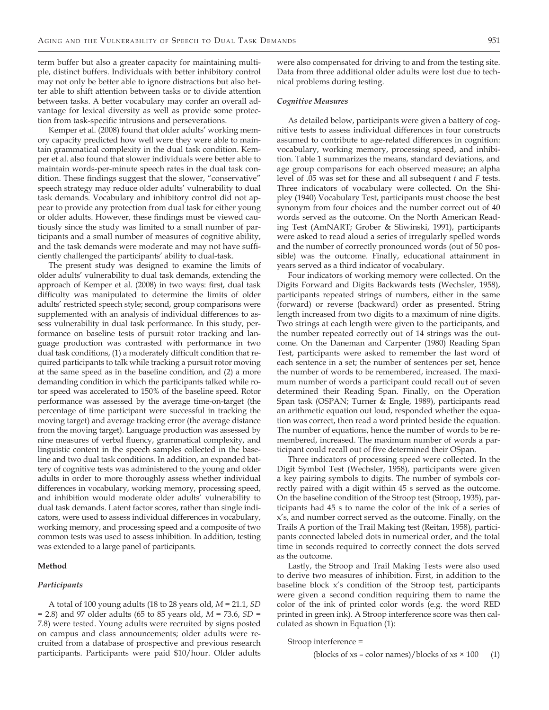term buffer but also a greater capacity for maintaining multiple, distinct buffers. Individuals with better inhibitory control may not only be better able to ignore distractions but also better able to shift attention between tasks or to divide attention between tasks. A better vocabulary may confer an overall advantage for lexical diversity as well as provide some protection from task-specific intrusions and perseverations.

Kemper et al. (2008) found that older adults' working memory capacity predicted how well were they were able to maintain grammatical complexity in the dual task condition. Kemper et al. also found that slower individuals were better able to maintain words-per-minute speech rates in the dual task condition. These findings suggest that the slower, "conservative" speech strategy may reduce older adults' vulnerability to dual task demands. Vocabulary and inhibitory control did not appear to provide any protection from dual task for either young or older adults. However, these findings must be viewed cautiously since the study was limited to a small number of participants and a small number of measures of cognitive ability, and the task demands were moderate and may not have sufficiently challenged the participants' ability to dual-task.

The present study was designed to examine the limits of older adults' vulnerability to dual task demands, extending the approach of Kemper et al. (2008) in two ways: first, dual task difficulty was manipulated to determine the limits of older adults' restricted speech style; second, group comparisons were supplemented with an analysis of individual differences to assess vulnerability in dual task performance. In this study, performance on baseline tests of pursuit rotor tracking and language production was contrasted with performance in two dual task conditions, (1) a moderately difficult condition that required participants to talk while tracking a pursuit rotor moving at the same speed as in the baseline condition, and (2) a more demanding condition in which the participants talked while rotor speed was accelerated to 150% of the baseline speed. Rotor performance was assessed by the average time-on-target (the percentage of time participant were successful in tracking the moving target) and average tracking error (the average distance from the moving target). Language production was assessed by nine measures of verbal fluency, grammatical complexity, and linguistic content in the speech samples collected in the baseline and two dual task conditions. In addition, an expanded battery of cognitive tests was administered to the young and older adults in order to more thoroughly assess whether individual differences in vocabulary, working memory, processing speed, and inhibition would moderate older adults' vulnerability to dual task demands. Latent factor scores, rather than single indicators, were used to assess individual differences in vocabulary, working memory, and processing speed and a composite of two common tests was used to assess inhibition. In addition, testing was extended to a large panel of participants.

## **Method**

## *Participants*

A total of 100 young adults (18 to 28 years old, *M* = 21.1, *SD* = 2.8) and 97 older adults (65 to 85 years old, *M* = 73.6, *SD* = 7.8) were tested. Young adults were recruited by signs posted on campus and class announcements; older adults were recruited from a database of prospective and previous research participants. Participants were paid \$10/hour. Older adults

were also compensated for driving to and from the testing site. Data from three additional older adults were lost due to technical problems during testing.

#### *Cognitive Measures*

As detailed below, participants were given a battery of cognitive tests to assess individual differences in four constructs assumed to contribute to age-related differences in cognition: vocabulary, working memory, processing speed, and inhibition. Table 1 summarizes the means, standard deviations, and age group comparisons for each observed measure; an alpha level of .05 was set for these and all subsequent *t* and *F* tests. Three indicators of vocabulary were collected. On the Shipley (1940) Vocabulary Test, participants must choose the best synonym from four choices and the number correct out of 40 words served as the outcome. On the North American Reading Test (AmNART; Grober & Sliwinski, 1991), participants were asked to read aloud a series of irregularly spelled words and the number of correctly pronounced words (out of 50 possible) was the outcome. Finally, educational attainment in years served as a third indicator of vocabulary.

Four indicators of working memory were collected. On the Digits Forward and Digits Backwards tests (Wechsler, 1958), participants repeated strings of numbers, either in the same (forward) or reverse (backward) order as presented. String length increased from two digits to a maximum of nine digits. Two strings at each length were given to the participants, and the number repeated correctly out of 14 strings was the outcome. On the Daneman and Carpenter (1980) Reading Span Test, participants were asked to remember the last word of each sentence in a set; the number of sentences per set, hence the number of words to be remembered, increased. The maximum number of words a participant could recall out of seven determined their Reading Span. Finally, on the Operation Span task (OSPAN; Turner & Engle, 1989), participants read an arithmetic equation out loud, responded whether the equation was correct, then read a word printed beside the equation. The number of equations, hence the number of words to be remembered, increased. The maximum number of words a participant could recall out of five determined their OSpan.

Three indicators of processing speed were collected. In the Digit Symbol Test (Wechsler, 1958), participants were given a key pairing symbols to digits. The number of symbols correctly paired with a digit within 45 s served as the outcome. On the baseline condition of the Stroop test (Stroop, 1935), participants had 45 s to name the color of the ink of a series of x's, and number correct served as the outcome. Finally, on the Trails A portion of the Trail Making test (Reitan, 1958), participants connected labeled dots in numerical order, and the total time in seconds required to correctly connect the dots served as the outcome.

Lastly, the Stroop and Trail Making Tests were also used to derive two measures of inhibition. First, in addition to the baseline block x's condition of the Stroop test, participants were given a second condition requiring them to name the color of the ink of printed color words (e.g. the word RED printed in green ink). A Stroop interference score was then calculated as shown in Equation (1):

Stroop interference =

$$
(blocks of xs-color names)/blocks of xs × 100 (1)
$$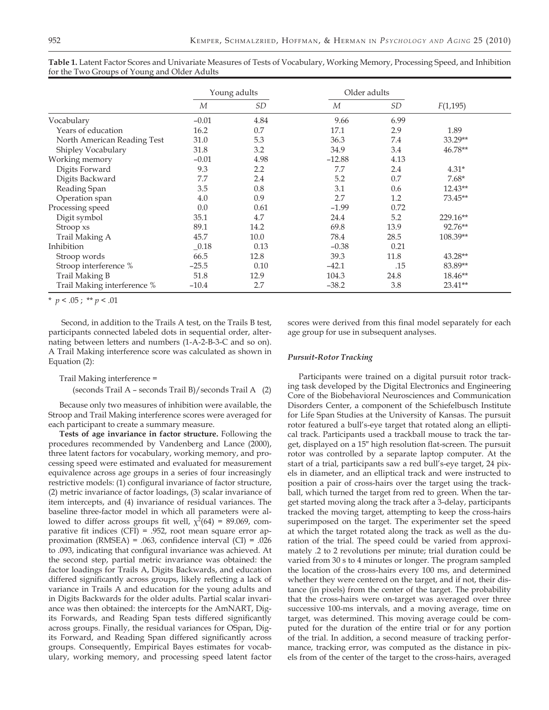|                             | Young adults |      | Older adults |      |           |
|-----------------------------|--------------|------|--------------|------|-----------|
|                             | М            | SD   | M            | SD   | F(1, 195) |
| Vocabulary                  | $-0.01$      | 4.84 | 9.66         | 6.99 |           |
| Years of education          | 16.2         | 0.7  | 17.1         | 2.9  | 1.89      |
| North American Reading Test | 31.0         | 5.3  | 36.3         | 7.4  | 33.29**   |
| Shipley Vocabulary          | 31.8         | 3.2  | 34.9         | 3.4  | 46.78**   |
| Working memory              | $-0.01$      | 4.98 | $-12.88$     | 4.13 |           |
| Digits Forward              | 9.3          | 2.2  | 7.7          | 2.4  | $4.31*$   |
| Digits Backward             | 7.7          | 2.4  | 5.2          | 0.7  | $7.68*$   |
| Reading Span                | 3.5          | 0.8  | 3.1          | 0.6  | 12.43**   |
| Operation span              | 4.0          | 0.9  | 2.7          | 1.2  | 73.45**   |
| Processing speed            | 0.0          | 0.61 | $-1.99$      | 0.72 |           |
| Digit symbol                | 35.1         | 4.7  | 24.4         | 5.2  | 229.16**  |
| Stroop xs                   | 89.1         | 14.2 | 69.8         | 13.9 | 92.76**   |
| Trail Making A              | 45.7         | 10.0 | 78.4         | 28.5 | 108.39**  |
| Inhibition                  | $\_0.18$     | 0.13 | $-0.38$      | 0.21 |           |
| Stroop words                | 66.5         | 12.8 | 39.3         | 11.8 | 43.28**   |
| Stroop interference %       | $-25.5$      | 0.10 | $-42.1$      | .15  | 83.89**   |
| Trail Making B              | 51.8         | 12.9 | 104.3        | 24.8 | 18.46**   |
| Trail Making interference % | $-10.4$      | 2.7  | $-38.2$      | 3.8  | 23.41**   |

**Table 1.** Latent Factor Scores and Univariate Measures of Tests of Vocabulary, Working Memory, Processing Speed, and Inhibition for the Two Groups of Young and Older Adults

\* *p <* .05 ; \*\* *p <* .01

 Second, in addition to the Trails A test, on the Trails B test, participants connected labeled dots in sequential order, alternating between letters and numbers (1-A-2-B-3-C and so on). A Trail Making interference score was calculated as shown in Equation (2):

Trail Making interference =

(seconds Trail A – seconds Trail B)/seconds Trail A (2)

Because only two measures of inhibition were available, the Stroop and Trail Making interference scores were averaged for each participant to create a summary measure.

**Tests of age invariance in factor structure.** Following the procedures recommended by Vandenberg and Lance (2000), three latent factors for vocabulary, working memory, and processing speed were estimated and evaluated for measurement equivalence across age groups in a series of four increasingly restrictive models: (1) configural invariance of factor structure, (2) metric invariance of factor loadings, (3) scalar invariance of item intercepts, and (4) invariance of residual variances. The baseline three-factor model in which all parameters were allowed to differ across groups fit well,  $\chi^2(64) = 89.069$ , comparative fit indices (CFI) = .952, root mean square error approximation (RMSEA) = .063, confidence interval (CI) = .026 to .093, indicating that configural invariance was achieved. At the second step, partial metric invariance was obtained: the factor loadings for Trails A, Digits Backwards, and education differed significantly across groups, likely reflecting a lack of variance in Trails A and education for the young adults and in Digits Backwards for the older adults. Partial scalar invariance was then obtained: the intercepts for the AmNART, Digits Forwards, and Reading Span tests differed significantly across groups. Finally, the residual variances for OSpan, Digits Forward, and Reading Span differed significantly across groups. Consequently, Empirical Bayes estimates for vocabulary, working memory, and processing speed latent factor scores were derived from this final model separately for each age group for use in subsequent analyses.

#### *Pursuit-Rotor Tracking*

Participants were trained on a digital pursuit rotor tracking task developed by the Digital Electronics and Engineering Core of the Biobehavioral Neurosciences and Communication Disorders Center, a component of the Schiefelbusch Institute for Life Span Studies at the University of Kansas. The pursuit rotor featured a bull's-eye target that rotated along an elliptical track. Participants used a trackball mouse to track the target, displayed on a 15″ high resolution flat-screen. The pursuit rotor was controlled by a separate laptop computer. At the start of a trial, participants saw a red bull's-eye target, 24 pixels in diameter, and an elliptical track and were instructed to position a pair of cross-hairs over the target using the trackball, which turned the target from red to green. When the target started moving along the track after a 3-delay, participants tracked the moving target, attempting to keep the cross-hairs superimposed on the target. The experimenter set the speed at which the target rotated along the track as well as the duration of the trial. The speed could be varied from approximately .2 to 2 revolutions per minute; trial duration could be varied from 30 s to 4 minutes or longer. The program sampled the location of the cross-hairs every 100 ms, and determined whether they were centered on the target, and if not, their distance (in pixels) from the center of the target. The probability that the cross-hairs were on-target was averaged over three successive 100-ms intervals, and a moving average, time on target, was determined. This moving average could be computed for the duration of the entire trial or for any portion of the trial. In addition, a second measure of tracking performance, tracking error, was computed as the distance in pixels from of the center of the target to the cross-hairs, averaged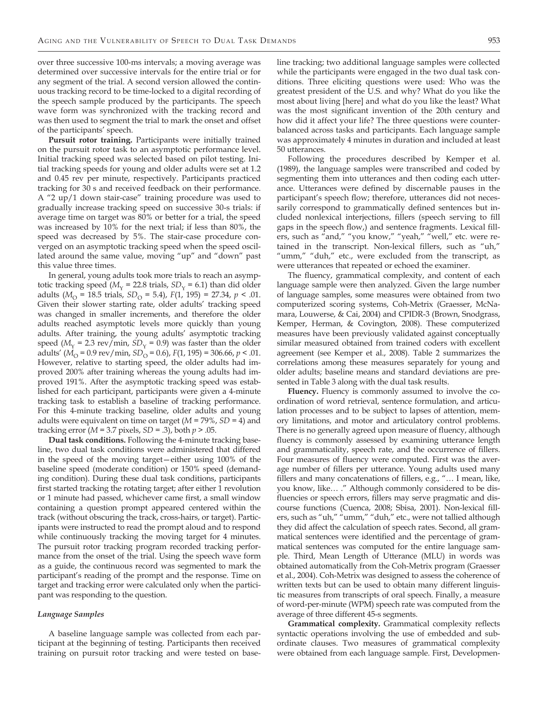over three successive 100-ms intervals; a moving average was determined over successive intervals for the entire trial or for any segment of the trial. A second version allowed the continuous tracking record to be time-locked to a digital recording of the speech sample produced by the participants. The speech wave form was synchronized with the tracking record and was then used to segment the trial to mark the onset and offset of the participants' speech.

**Pursuit rotor training.** Participants were initially trained on the pursuit rotor task to an asymptotic performance level. Initial tracking speed was selected based on pilot testing. Initial tracking speeds for young and older adults were set at 1.2 and 0.45 rev per minute, respectively. Participants practiced tracking for 30 s and received feedback on their performance. A "2 up/1 down stair-case" training procedure was used to gradually increase tracking speed on successive 30-s trials: if average time on target was 80% or better for a trial, the speed was increased by 10% for the next trial; if less than 80%, the speed was decreased by 5%. The stair-case procedure converged on an asymptotic tracking speed when the speed oscillated around the same value, moving "up" and "down" past this value three times.

In general, young adults took more trials to reach an asymptotic tracking speed ( $M_V$  = 22.8 trials,  $SD_V$  = 6.1) than did older adults ( $M_{\Omega}$  = 18.5 trials,  $SD_{\Omega}$  = 5.4),  $F(1, 195)$  = 27.34,  $p < .01$ . Given their slower starting rate, older adults' tracking speed was changed in smaller increments, and therefore the older adults reached asymptotic levels more quickly than young adults. After training, the young adults' asymptotic tracking speed ( $M_V$  = 2.3 rev/min,  $SD_V$  = 0.9) was faster than the older adults' ( $\dot{M}_{\odot}$  = 0.9 rev/min, *SD*<sub>O</sub> = 0.6), *F*(1, 195) = 306.66, *p* < .01. However, relative to starting speed, the older adults had improved 200% after training whereas the young adults had improved 191%. After the asymptotic tracking speed was established for each participant, participants were given a 4-minute tracking task to establish a baseline of tracking performance. For this 4-minute tracking baseline, older adults and young adults were equivalent on time on target (*M* = 79%, *SD* = 4) and tracking error (*M* = 3.7 pixels, *SD* = .3), both *p* > .05.

**Dual task conditions.** Following the 4-minute tracking baseline, two dual task conditions were administered that differed in the speed of the moving target—either using 100% of the baseline speed (moderate condition) or 150% speed (demanding condition). During these dual task conditions, participants first started tracking the rotating target; after either 1 revolution or 1 minute had passed, whichever came first, a small window containing a question prompt appeared centered within the track (without obscuring the track, cross-hairs, or target). Participants were instructed to read the prompt aloud and to respond while continuously tracking the moving target for 4 minutes. The pursuit rotor tracking program recorded tracking performance from the onset of the trial. Using the speech wave form as a guide, the continuous record was segmented to mark the participant's reading of the prompt and the response. Time on target and tracking error were calculated only when the participant was responding to the question.

#### *Language Samples*

A baseline language sample was collected from each participant at the beginning of testing. Participants then received training on pursuit rotor tracking and were tested on baseline tracking; two additional language samples were collected while the participants were engaged in the two dual task conditions. Three eliciting questions were used: Who was the greatest president of the U.S. and why? What do you like the most about living [here] and what do you like the least? What was the most significant invention of the 20th century and how did it affect your life? The three questions were counterbalanced across tasks and participants. Each language sample was approximately 4 minutes in duration and included at least 50 utterances.

Following the procedures described by Kemper et al. (1989), the language samples were transcribed and coded by segmenting them into utterances and then coding each utterance. Utterances were defined by discernable pauses in the participant's speech flow; therefore, utterances did not necessarily correspond to grammatically defined sentences but included nonlexical interjections, fillers (speech serving to fill gaps in the speech flow,) and sentence fragments. Lexical fillers, such as "and," "you know," "yeah," "well," etc. were retained in the transcript. Non-lexical fillers, such as "uh," "umm," "duh," etc., were excluded from the transcript, as were utterances that repeated or echoed the examiner.

The fluency, grammatical complexity, and content of each language sample were then analyzed. Given the large number of language samples, some measures were obtained from two computerized scoring systems, Coh-Metrix (Graesser, McNamara, Louwerse, & Cai, 2004) and CPIDR-3 (Brown, Snodgrass, Kemper, Herman, & Covington, 2008). These computerized measures have been previously validated against conceptually similar measured obtained from trained coders with excellent agreement (see Kemper et al., 2008). Table 2 summarizes the correlations among these measures separately for young and older adults; baseline means and standard deviations are presented in Table 3 along with the dual task results.

**Fluency.** Fluency is commonly assumed to involve the coordination of word retrieval, sentence formulation, and articulation processes and to be subject to lapses of attention, memory limitations, and motor and articulatory control problems. There is no generally agreed upon measure of fluency, although fluency is commonly assessed by examining utterance length and grammaticality, speech rate, and the occurrence of fillers. Four measures of fluency were computed. First was the average number of fillers per utterance. Young adults used many fillers and many concatenations of fillers, e.g., "… I mean, like, you know, like… ." Although commonly considered to be disfluencies or speech errors, fillers may serve pragmatic and discourse functions (Cuenca, 2008; Sbisa, 2001). Non-lexical fillers, such as "uh," "umm," "duh," etc., were not tallied although they did affect the calculation of speech rates. Second, all grammatical sentences were identified and the percentage of grammatical sentences was computed for the entire language sample. Third, Mean Length of Utterance (MLU) in words was obtained automatically from the Coh-Metrix program (Graesser et al., 2004). Coh-Metrix was designed to assess the coherence of written texts but can be used to obtain many different linguistic measures from transcripts of oral speech. Finally, a measure of word-per-minute (WPM) speech rate was computed from the average of three different 45-s segments.

**Grammatical complexity.** Grammatical complexity reflects syntactic operations involving the use of embedded and subordinate clauses. Two measures of grammatical complexity were obtained from each language sample. First, Developmen-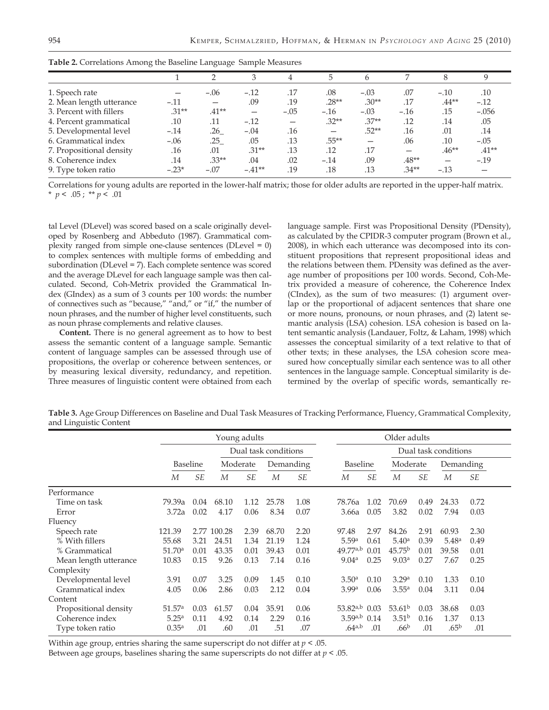|                          | $\sim$  |         |                          |                          |                          |          |                 |                          |         |
|--------------------------|---------|---------|--------------------------|--------------------------|--------------------------|----------|-----------------|--------------------------|---------|
|                          |         | ∍       | 3                        | 4                        | 5                        | $\sigma$ |                 | 8                        | 9       |
| 1. Speech rate           |         | $-.06$  | $-.12$                   | .17                      | .08                      | $-.03$   | .07             | $-.10$                   | .10     |
| 2. Mean length utterance | $-.11$  |         | .09                      | .19                      | $.28**$                  | $.30**$  | .17             | $.44**$                  | $-.12$  |
| 3. Percent with fillers  | $.31**$ | $.41**$ | $\overline{\phantom{0}}$ | $-.05$                   | $-.16$                   | $-.03$   | $-.16$          | .15                      | $-.056$ |
| 4. Percent grammatical   | .10     | .11     | $-.12$                   | $\overline{\phantom{m}}$ | $.32**$                  | $.37**$  | .12             | .14                      | .05     |
| 5. Developmental level   | $-.14$  | .26     | $-.04$                   | .16                      | $\overline{\phantom{m}}$ | $.52**$  | .16             | .01                      | .14     |
| 6. Grammatical index     | $-.06$  | .25     | .05                      | .13                      | $.55***$                 | —        | .06             | .10                      | $-.05$  |
| 7. Propositional density | .16     | .01     | $.31**$                  | .13                      | .12                      | .17      | $\qquad \qquad$ | $.46**$                  | $.41**$ |
| 8. Coherence index       | .14     | $.33**$ | .04                      | .02                      | $-.14$                   | .09      | $.48**$         | $\overline{\phantom{0}}$ | $-.19$  |
| 9. Type token ratio      | $-.23*$ | $-.07$  | $-.41**$                 | .19                      | .18                      | .13      | $.34**$         | $-.13$                   |         |

**Table 2.** Correlations Among the Baseline Language Sample Measures

Correlations for young adults are reported in the lower-half matrix; those for older adults are reported in the upper-half matrix. \* *p <* .05 ; \*\* *p <* .01

tal Level (DLevel) was scored based on a scale originally developed by Rosenberg and Abbeduto (1987). Grammatical complexity ranged from simple one-clause sentences (DLevel = 0) to complex sentences with multiple forms of embedding and subordination (DLevel = 7). Each complete sentence was scored and the average DLevel for each language sample was then calculated. Second, Coh-Metrix provided the Grammatical Index (GIndex) as a sum of 3 counts per 100 words: the number of connectives such as "because," "and," or "if," the number of noun phrases, and the number of higher level constituents, such as noun phrase complements and relative clauses.

**Content.** There is no general agreement as to how to best assess the semantic content of a language sample. Semantic content of language samples can be assessed through use of propositions, the overlap or coherence between sentences, or by measuring lexical diversity, redundancy, and repetition. Three measures of linguistic content were obtained from each

language sample. First was Propositional Density (PDensity), as calculated by the CPIDR-3 computer program (Brown et al., 2008), in which each utterance was decomposed into its constituent propositions that represent propositional ideas and the relations between them. PDensity was defined as the average number of propositions per 100 words. Second, Coh-Metrix provided a measure of coherence, the Coherence Index (CIndex), as the sum of two measures: (1) argument overlap or the proportional of adjacent sentences that share one or more nouns, pronouns, or noun phrases, and (2) latent semantic analysis (LSA) cohesion. LSA cohesion is based on latent semantic analysis (Landauer, Foltz, & Laham, 1998) which assesses the conceptual similarity of a text relative to that of other texts; in these analyses, the LSA cohesion score measured how conceptually similar each sentence was to all other sentences in the language sample. Conceptual similarity is determined by the overlap of specific words, semantically re-

**Table 3.** Age Group Differences on Baseline and Dual Task Measures of Tracking Performance, Fluency, Grammatical Complexity, and Linguistic Content

|                       | Young adults         |      |          |      |           | Older adults         |                    |      |                    |           |                   |           |  |
|-----------------------|----------------------|------|----------|------|-----------|----------------------|--------------------|------|--------------------|-----------|-------------------|-----------|--|
|                       | Dual task conditions |      |          |      |           | Dual task conditions |                    |      |                    |           |                   |           |  |
|                       | Baseline             |      | Moderate |      | Demanding |                      | <b>Baseline</b>    |      | Moderate           |           | Demanding         |           |  |
|                       | М                    | SE.  | M        | SE   | M         | <b>SE</b>            | M                  | SE.  | М                  | <b>SE</b> | M                 | <b>SE</b> |  |
| Performance           |                      |      |          |      |           |                      |                    |      |                    |           |                   |           |  |
| Time on task          | 79.39a               | 0.04 | 68.10    | 1.12 | 25.78     | 1.08                 | 78.76a             | 1.02 | 70.69              | 0.49      | 24.33             | 0.72      |  |
| Error                 | 3.72a                | 0.02 | 4.17     | 0.06 | 8.34      | 0.07                 | 3.66a              | 0.05 | 3.82               | 0.02      | 7.94              | 0.03      |  |
| Fluency               |                      |      |          |      |           |                      |                    |      |                    |           |                   |           |  |
| Speech rate           | 121.39               | 2.77 | 100.28   | 2.39 | 68.70     | 2.20                 | 97.48              | 2.97 | 84.26              | 2.91      | 60.93             | 2.30      |  |
| % With fillers        | 55.68                | 3.21 | 24.51    | 1.34 | 21.19     | 1.24                 | 5.59 <sup>a</sup>  | 0.61 | $5.40^{\circ}$     | 0.39      | 5.48 <sup>a</sup> | 0.49      |  |
| % Grammatical         | 51.70 <sup>a</sup>   | 0.01 | 43.35    | 0.01 | 39.43     | 0.01                 | $49.77^{a,b}$      | 0.01 | $45.75^{b}$        | 0.01      | 39.58             | 0.01      |  |
| Mean length utterance | 10.83                | 0.15 | 9.26     | 0.13 | 7.14      | 0.16                 | 9.04 <sup>a</sup>  | 0.25 | 9.03 <sup>a</sup>  | 0.27      | 7.67              | 0.25      |  |
| Complexity            |                      |      |          |      |           |                      |                    |      |                    |           |                   |           |  |
| Developmental level   | 3.91                 | 0.07 | 3.25     | 0.09 | 1.45      | 0.10                 | 3.50 <sup>a</sup>  | 0.10 | 3.29a              | 0.10      | 1.33              | 0.10      |  |
| Grammatical index     | 4.05                 | 0.06 | 2.86     | 0.03 | 2.12      | 0.04                 | 3.99a              | 0.06 | $3.55^{\rm a}$     | 0.04      | 3.11              | 0.04      |  |
| Content               |                      |      |          |      |           |                      |                    |      |                    |           |                   |           |  |
| Propositional density | 51.57 <sup>a</sup>   | 0.03 | 61.57    | 0.04 | 35.91     | 0.06                 | $53.82^{a,b}$ 0.03 |      | 53.61 <sup>b</sup> | 0.03      | 38.68             | 0.03      |  |
| Coherence index       | $5.25^{\rm a}$       | 0.11 | 4.92     | 0.14 | 2.29      | 0.16                 | 3.59a,b            | 0.14 | 3.51 <sup>b</sup>  | 0.16      | 1.37              | 0.13      |  |
| Type token ratio      | 0.35 <sup>a</sup>    | .01  | .60      | .01  | .51       | .07                  | .64a,b             | .01  | $.66^{\rm b}$      | .01       | .65 <sup>b</sup>  | .01       |  |

Within age group, entries sharing the same superscript do not differ at *p <* .05.

Between age groups, baselines sharing the same superscripts do not differ at *p <* .05.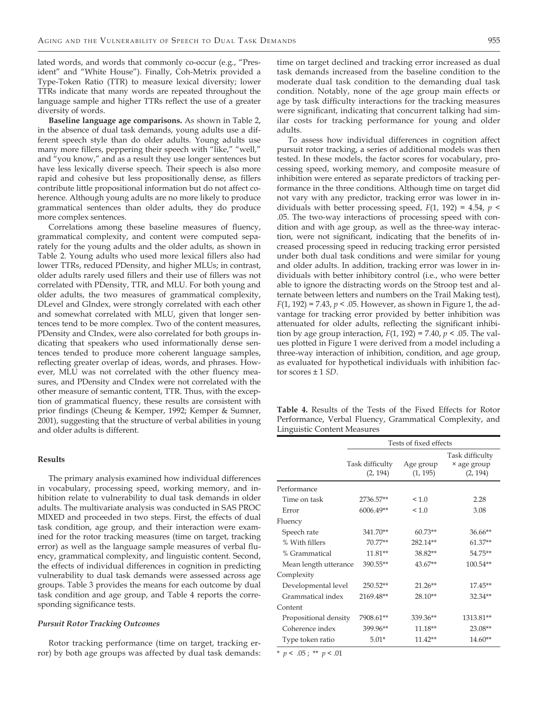lated words, and words that commonly co-occur (e.g., "President" and "White House"). Finally, Coh-Metrix provided a Type-Token Ratio (TTR) to measure lexical diversity; lower TTRs indicate that many words are repeated throughout the language sample and higher TTRs reflect the use of a greater diversity of words.

**Baseline language age comparisons.** As shown in Table 2, in the absence of dual task demands, young adults use a different speech style than do older adults. Young adults use many more fillers, peppering their speech with "like," "well," and "you know," and as a result they use longer sentences but have less lexically diverse speech. Their speech is also more rapid and cohesive but less propositionally dense, as fillers contribute little propositional information but do not affect coherence. Although young adults are no more likely to produce grammatical sentences than older adults, they do produce more complex sentences.

Correlations among these baseline measures of fluency, grammatical complexity, and content were computed separately for the young adults and the older adults, as shown in Table 2. Young adults who used more lexical fillers also had lower TTRs, reduced PDensity, and higher MLUs; in contrast, older adults rarely used fillers and their use of fillers was not correlated with PDensity, TTR, and MLU. For both young and older adults, the two measures of grammatical complexity, DLevel and GIndex, were strongly correlated with each other and somewhat correlated with MLU, given that longer sentences tend to be more complex. Two of the content measures, PDensity and CIndex, were also correlated for both groups indicating that speakers who used informationally dense sentences tended to produce more coherent language samples, reflecting greater overlap of ideas, words, and phrases. However, MLU was not correlated with the other fluency measures, and PDensity and CIndex were not correlated with the other measure of semantic content, TTR. Thus, with the exception of grammatical fluency, these results are consistent with prior findings (Cheung & Kemper, 1992; Kemper & Sumner, 2001), suggesting that the structure of verbal abilities in young and older adults is different.

## **Results**

The primary analysis examined how individual differences in vocabulary, processing speed, working memory, and inhibition relate to vulnerability to dual task demands in older adults. The multivariate analysis was conducted in SAS PROC MIXED and proceeded in two steps. First, the effects of dual task condition, age group, and their interaction were examined for the rotor tracking measures (time on target, tracking error) as well as the language sample measures of verbal fluency, grammatical complexity, and linguistic content. Second, the effects of individual differences in cognition in predicting vulnerability to dual task demands were assessed across age groups. Table 3 provides the means for each outcome by dual task condition and age group, and Table 4 reports the corresponding significance tests.

#### *Pursuit Rotor Tracking Outcomes*

Rotor tracking performance (time on target, tracking error) by both age groups was affected by dual task demands:

time on target declined and tracking error increased as dual task demands increased from the baseline condition to the moderate dual task condition to the demanding dual task condition. Notably, none of the age group main effects or age by task difficulty interactions for the tracking measures were significant, indicating that concurrent talking had similar costs for tracking performance for young and older adults.

To assess how individual differences in cognition affect pursuit rotor tracking, a series of additional models was then tested. In these models, the factor scores for vocabulary, processing speed, working memory, and composite measure of inhibition were entered as separate predictors of tracking performance in the three conditions. Although time on target did not vary with any predictor, tracking error was lower in individuals with better processing speed,  $F(1, 192) = 4.54$ ,  $p \le$ .05. The two-way interactions of processing speed with condition and with age group, as well as the three-way interaction, were not significant, indicating that the benefits of increased processing speed in reducing tracking error persisted under both dual task conditions and were similar for young and older adults. In addition, tracking error was lower in individuals with better inhibitory control (i.e., who were better able to ignore the distracting words on the Stroop test and alternate between letters and numbers on the Trail Making test), *F*(1, 192) = 7.43, *p* < .05. However, as shown in Figure 1, the advantage for tracking error provided by better inhibition was attenuated for older adults, reflecting the significant inhibition by age group interaction,  $F(1, 192) = 7.40$ ,  $p < .05$ . The values plotted in Figure 1 were derived from a model including a three-way interaction of inhibition, condition, and age group, as evaluated for hypothetical individuals with inhibition factor scores ± 1 *SD*.

**Table 4.** Results of the Tests of the Fixed Effects for Rotor Performance, Verbal Fluency, Grammatical Complexity, and Linguistic Content Measures

|                       | Tests of fixed effects      |                       |                                            |  |  |  |  |  |
|-----------------------|-----------------------------|-----------------------|--------------------------------------------|--|--|--|--|--|
|                       | Task difficulty<br>(2, 194) | Age group<br>(1, 195) | Task difficulty<br>× age group<br>(2, 194) |  |  |  |  |  |
| Performance           |                             |                       |                                            |  |  |  |  |  |
| Time on task          | 2736.57**                   | < 1.0                 | 2.28                                       |  |  |  |  |  |
| Error                 | 6006.49**                   | ${}_{1.0}$            | 3.08                                       |  |  |  |  |  |
| Fluency               |                             |                       |                                            |  |  |  |  |  |
| Speech rate           | 341.70**                    | $60.73**$             | $36.66**$                                  |  |  |  |  |  |
| % With fillers        | 70.77**                     | 282.14**              | $61.37**$                                  |  |  |  |  |  |
| % Grammatical         | $11.81**$                   | 38.82**               | 54.75**                                    |  |  |  |  |  |
| Mean length utterance | 390.55**                    | 43.67**               | 100.54**                                   |  |  |  |  |  |
| Complexity            |                             |                       |                                            |  |  |  |  |  |
| Developmental level   | 250.52**                    | $21.26**$             | $17.45**$                                  |  |  |  |  |  |
| Grammatical index     | 2169.48**                   | $28.10**$             | 32.34**                                    |  |  |  |  |  |
| Content               |                             |                       |                                            |  |  |  |  |  |
| Propositional density | 7908.61**                   | 339.36**              | 1313.81**                                  |  |  |  |  |  |
| Coherence index       | 399.96**                    | 11.18**               | 23.08**                                    |  |  |  |  |  |
| Type token ratio      | $5.01*$                     | $11.42**$             | 14.60**                                    |  |  |  |  |  |

\* *p <* .05 ; \*\* *p <* .01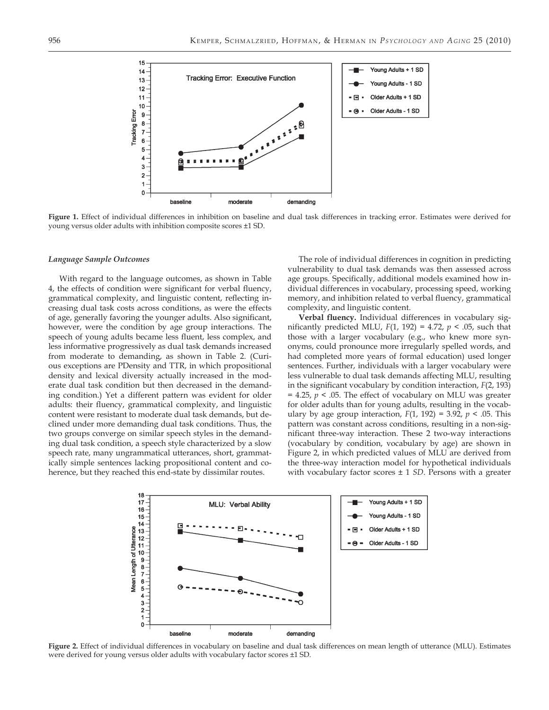

**Figure 1.** Effect of individual differences in inhibition on baseline and dual task differences in tracking error. Estimates were derived for young versus older adults with inhibition composite scores ±1 SD.

#### *Language Sample Outcomes*

With regard to the language outcomes, as shown in Table 4, the effects of condition were significant for verbal fluency, grammatical complexity, and linguistic content, reflecting increasing dual task costs across conditions, as were the effects of age, generally favoring the younger adults. Also significant, however, were the condition by age group interactions. The speech of young adults became less fluent, less complex, and less informative progressively as dual task demands increased from moderate to demanding, as shown in Table 2. (Curious exceptions are PDensity and TTR, in which propositional density and lexical diversity actually increased in the moderate dual task condition but then decreased in the demanding condition.) Yet a different pattern was evident for older adults: their fluency, grammatical complexity, and linguistic content were resistant to moderate dual task demands, but declined under more demanding dual task conditions. Thus, the two groups converge on similar speech styles in the demanding dual task condition, a speech style characterized by a slow speech rate, many ungrammatical utterances, short, grammatically simple sentences lacking propositional content and coherence, but they reached this end-state by dissimilar routes.

The role of individual differences in cognition in predicting vulnerability to dual task demands was then assessed across age groups. Specifically, additional models examined how individual differences in vocabulary, processing speed, working memory, and inhibition related to verbal fluency, grammatical complexity, and linguistic content.

**Verbal fluency.** Individual differences in vocabulary significantly predicted MLU,  $F(1, 192) = 4.72$ ,  $p \le .05$ , such that those with a larger vocabulary (e.g., who knew more synonyms, could pronounce more irregularly spelled words, and had completed more years of formal education) used longer sentences. Further, individuals with a larger vocabulary were less vulnerable to dual task demands affecting MLU, resulting in the significant vocabulary by condition interaction, *F*(2, 193)  $= 4.25$ ,  $p \le 0.05$ . The effect of vocabulary on MLU was greater for older adults than for young adults, resulting in the vocabulary by age group interaction,  $F(1, 192) = 3.92$ ,  $p < .05$ . This pattern was constant across conditions, resulting in a non-significant three-way interaction. These 2 two-way interactions (vocabulary by condition, vocabulary by age) are shown in Figure 2, in which predicted values of MLU are derived from the three-way interaction model for hypothetical individuals with vocabulary factor scores ± 1 *SD*. Persons with a greater



**Figure 2.** Effect of individual differences in vocabulary on baseline and dual task differences on mean length of utterance (MLU). Estimates were derived for young versus older adults with vocabulary factor scores ±1 SD.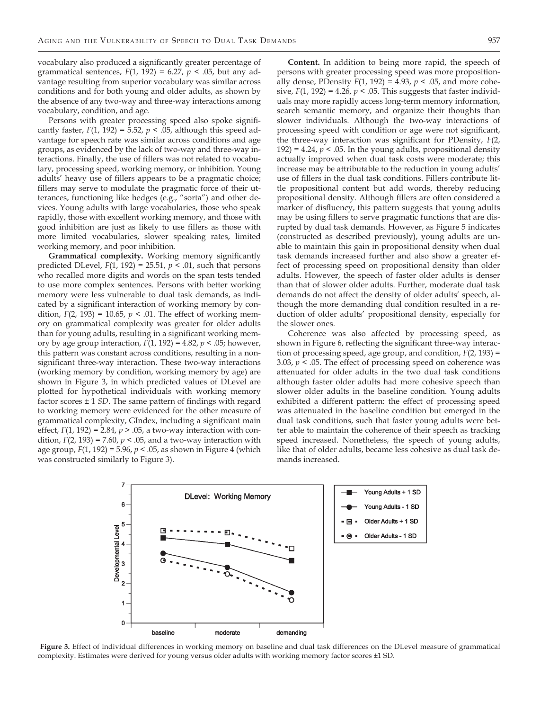vocabulary also produced a significantly greater percentage of grammatical sentences, *F*(1, 192) = 6.27, *p* < .05, but any advantage resulting from superior vocabulary was similar across conditions and for both young and older adults, as shown by the absence of any two-way and three-way interactions among vocabulary, condition, and age.

Persons with greater processing speed also spoke significantly faster,  $F(1, 192) = 5.52$ ,  $p < .05$ , although this speed advantage for speech rate was similar across conditions and age groups, as evidenced by the lack of two-way and three-way interactions. Finally, the use of fillers was not related to vocabulary, processing speed, working memory, or inhibition. Young adults' heavy use of fillers appears to be a pragmatic choice; fillers may serve to modulate the pragmatic force of their utterances, functioning like hedges (e.g., "sorta") and other devices. Young adults with large vocabularies, those who speak rapidly, those with excellent working memory, and those with good inhibition are just as likely to use fillers as those with more limited vocabularies, slower speaking rates, limited working memory, and poor inhibition.

**Grammatical complexity.** Working memory significantly predicted DLevel,  $F(1, 192) = 25.51$ ,  $p < .01$ , such that persons who recalled more digits and words on the span tests tended to use more complex sentences. Persons with better working memory were less vulnerable to dual task demands, as indicated by a significant interaction of working memory by condition,  $F(2, 193) = 10.65$ ,  $p < .01$ . The effect of working memory on grammatical complexity was greater for older adults than for young adults, resulting in a significant working memory by age group interaction,  $F(1, 192) = 4.82$ ,  $p < .05$ ; however, this pattern was constant across conditions, resulting in a nonsignificant three-way interaction. These two-way interactions (working memory by condition, working memory by age) are shown in Figure 3, in which predicted values of DLevel are plotted for hypothetical individuals with working memory factor scores ± 1 *SD*. The same pattern of findings with regard to working memory were evidenced for the other measure of grammatical complexity, GIndex, including a significant main effect, *F*(1, 192) = 2.84, *p* > .05, a two-way interaction with condition,  $F(2, 193) = 7.60$ ,  $p < .05$ , and a two-way interaction with age group, *F*(1, 192) = 5.96, *p* < .05, as shown in Figure 4 (which was constructed similarly to Figure 3).

**Content.** In addition to being more rapid, the speech of persons with greater processing speed was more propositionally dense, PDensity  $F(1, 192) = 4.93$ ,  $p < .05$ , and more cohesive,  $F(1, 192) = 4.26$ ,  $p < .05$ . This suggests that faster individuals may more rapidly access long-term memory information, search semantic memory, and organize their thoughts than slower individuals. Although the two-way interactions of processing speed with condition or age were not significant, the three-way interaction was significant for PDensity, *F*(2, 192) = 4.24,  $p < .05$ . In the young adults, propositional density actually improved when dual task costs were moderate; this increase may be attributable to the reduction in young adults' use of fillers in the dual task conditions. Fillers contribute little propositional content but add words, thereby reducing propositional density. Although fillers are often considered a marker of disfluency, this pattern suggests that young adults may be using fillers to serve pragmatic functions that are disrupted by dual task demands. However, as Figure 5 indicates (constructed as described previously), young adults are unable to maintain this gain in propositional density when dual task demands increased further and also show a greater effect of processing speed on propositional density than older adults. However, the speech of faster older adults is denser than that of slower older adults. Further, moderate dual task demands do not affect the density of older adults' speech, although the more demanding dual condition resulted in a reduction of older adults' propositional density, especially for the slower ones.

Coherence was also affected by processing speed, as shown in Figure 6, reflecting the significant three-way interaction of processing speed, age group, and condition, *F*(2, 193) = 3.03, *p* < .05. The effect of processing speed on coherence was attenuated for older adults in the two dual task conditions although faster older adults had more cohesive speech than slower older adults in the baseline condition. Young adults exhibited a different pattern: the effect of processing speed was attenuated in the baseline condition but emerged in the dual task conditions, such that faster young adults were better able to maintain the coherence of their speech as tracking speed increased. Nonetheless, the speech of young adults, like that of older adults, became less cohesive as dual task demands increased.



**Figure 3.** Effect of individual differences in working memory on baseline and dual task differences on the DLevel measure of grammatical complexity. Estimates were derived for young versus older adults with working memory factor scores ±1 SD.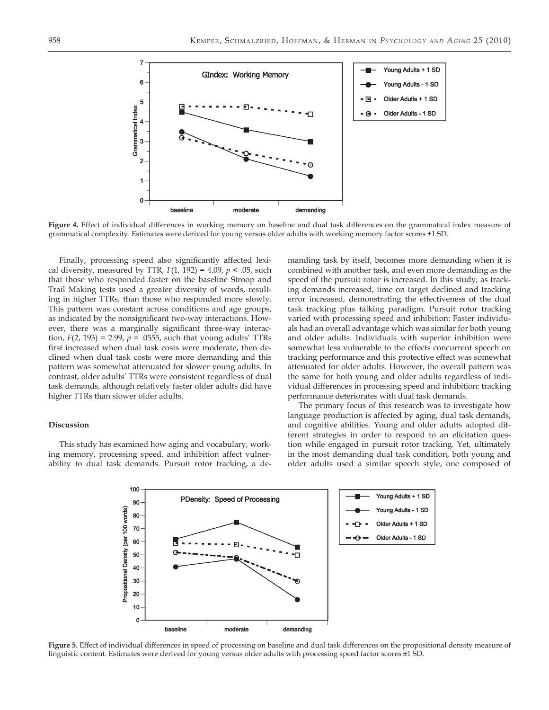

**Figure 4.** Effect of individual differences in working memory on baseline and dual task differences on the grammatical index measure of grammatical complexity. Estimates were derived for young versus older adults with working memory factor scores ±1 SD.

Finally, processing speed also significantly affected lexical diversity, measured by TTR, *F*(1, 192) = 4.09, *p* < .05, such that those who responded faster on the baseline Stroop and Trail Making tests used a greater diversity of words, resulting in higher TTRs, than those who responded more slowly. This pattern was constant across conditions and age groups, as indicated by the nonsignificant two-way interactions. However, there was a marginally significant three-way interaction,  $F(2, 193) = 2.99$ ,  $p = 0.0555$ , such that young adults' TTRs first increased when dual task costs were moderate, then declined when dual task costs were more demanding and this pattern was somewhat attenuated for slower young adults. In contrast, older adults' TTRs were consistent regardless of dual task demands, although relatively faster older adults did have higher TTRs than slower older adults.

## **Discussion**

This study has examined how aging and vocabulary, working memory, processing speed, and inhibition affect vulnerability to dual task demands. Pursuit rotor tracking, a de-

manding task by itself, becomes more demanding when it is combined with another task, and even more demanding as the speed of the pursuit rotor is increased. In this study, as tracking demands increased, time on target declined and tracking error increased, demonstrating the effectiveness of the dual task tracking plus talking paradigm. Pursuit rotor tracking varied with processing speed and inhibition: Faster individuals had an overall advantage which was similar for both young and older adults. Individuals with superior inhibition were somewhat less vulnerable to the effects concurrent speech on tracking performance and this protective effect was somewhat attenuated for older adults. However, the overall pattern was the same for both young and older adults regardless of individual differences in processing speed and inhibition: tracking performance deteriorates with dual task demands.

The primary focus of this research was to investigate how language production is affected by aging, dual task demands, and cognitive abilities. Young and older adults adopted different strategies in order to respond to an elicitation question while engaged in pursuit rotor tracking. Yet, ultimately in the most demanding dual task condition, both young and older adults used a similar speech style, one composed of



**Figure 5.** Effect of individual differences in speed of processing on baseline and dual task differences on the propositional density measure of linguistic content. Estimates were derived for young versus older adults with processing speed factor scores ±1 SD.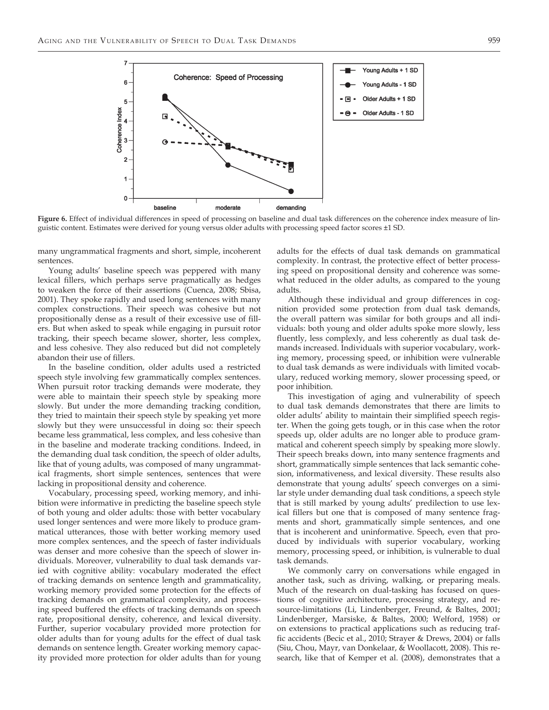

Figure 6. Effect of individual differences in speed of processing on baseline and dual task differences on the coherence index measure of linguistic content. Estimates were derived for young versus older adults with processing speed factor scores ±1 SD.

many ungrammatical fragments and short, simple, incoherent sentences.

Young adults' baseline speech was peppered with many lexical fillers, which perhaps serve pragmatically as hedges to weaken the force of their assertions (Cuenca, 2008; Sbisa, 2001). They spoke rapidly and used long sentences with many complex constructions. Their speech was cohesive but not propositionally dense as a result of their excessive use of fillers. But when asked to speak while engaging in pursuit rotor tracking, their speech became slower, shorter, less complex, and less cohesive. They also reduced but did not completely abandon their use of fillers.

In the baseline condition, older adults used a restricted speech style involving few grammatically complex sentences. When pursuit rotor tracking demands were moderate, they were able to maintain their speech style by speaking more slowly. But under the more demanding tracking condition, they tried to maintain their speech style by speaking yet more slowly but they were unsuccessful in doing so: their speech became less grammatical, less complex, and less cohesive than in the baseline and moderate tracking conditions. Indeed, in the demanding dual task condition, the speech of older adults, like that of young adults, was composed of many ungrammatical fragments, short simple sentences, sentences that were lacking in propositional density and coherence.

Vocabulary, processing speed, working memory, and inhibition were informative in predicting the baseline speech style of both young and older adults: those with better vocabulary used longer sentences and were more likely to produce grammatical utterances, those with better working memory used more complex sentences, and the speech of faster individuals was denser and more cohesive than the speech of slower individuals. Moreover, vulnerability to dual task demands varied with cognitive ability: vocabulary moderated the effect of tracking demands on sentence length and grammaticality, working memory provided some protection for the effects of tracking demands on grammatical complexity, and processing speed buffered the effects of tracking demands on speech rate, propositional density, coherence, and lexical diversity. Further, superior vocabulary provided more protection for older adults than for young adults for the effect of dual task demands on sentence length. Greater working memory capacity provided more protection for older adults than for young

adults for the effects of dual task demands on grammatical complexity. In contrast, the protective effect of better processing speed on propositional density and coherence was somewhat reduced in the older adults, as compared to the young adults.

Although these individual and group differences in cognition provided some protection from dual task demands, the overall pattern was similar for both groups and all individuals: both young and older adults spoke more slowly, less fluently, less complexly, and less coherently as dual task demands increased. Individuals with superior vocabulary, working memory, processing speed, or inhibition were vulnerable to dual task demands as were individuals with limited vocabulary, reduced working memory, slower processing speed, or poor inhibition.

This investigation of aging and vulnerability of speech to dual task demands demonstrates that there are limits to older adults' ability to maintain their simplified speech register. When the going gets tough, or in this case when the rotor speeds up, older adults are no longer able to produce grammatical and coherent speech simply by speaking more slowly. Their speech breaks down, into many sentence fragments and short, grammatically simple sentences that lack semantic cohesion, informativeness, and lexical diversity. These results also demonstrate that young adults' speech converges on a similar style under demanding dual task conditions, a speech style that is still marked by young adults' predilection to use lexical fillers but one that is composed of many sentence fragments and short, grammatically simple sentences, and one that is incoherent and uninformative. Speech, even that produced by individuals with superior vocabulary, working memory, processing speed, or inhibition, is vulnerable to dual task demands.

We commonly carry on conversations while engaged in another task, such as driving, walking, or preparing meals. Much of the research on dual-tasking has focused on questions of cognitive architecture, processing strategy, and resource-limitations (Li, Lindenberger, Freund, & Baltes, 2001; Lindenberger, Marsiske, & Baltes, 2000; Welford, 1958) or on extensions to practical applications such as reducing traffic accidents (Becic et al., 2010; Strayer & Drews, 2004) or falls (Siu, Chou, Mayr, van Donkelaar, & Woollacott, 2008). This research, like that of Kemper et al. (2008), demonstrates that a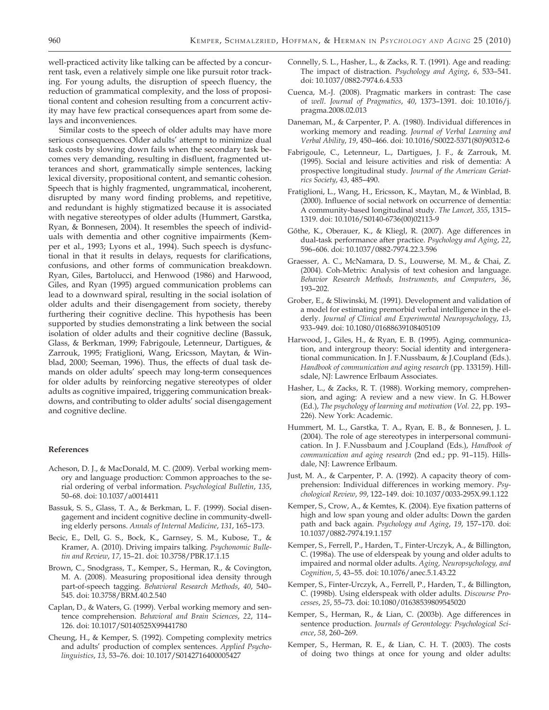well-practiced activity like talking can be affected by a concurrent task, even a relatively simple one like pursuit rotor tracking. For young adults, the disruption of speech fluency, the reduction of grammatical complexity, and the loss of propositional content and cohesion resulting from a concurrent activity may have few practical consequences apart from some delays and inconveniences.

Similar costs to the speech of older adults may have more serious consequences. Older adults' attempt to minimize dual task costs by slowing down fails when the secondary task becomes very demanding, resulting in disfluent, fragmented utterances and short, grammatically simple sentences, lacking lexical diversity, propositional content, and semantic cohesion. Speech that is highly fragmented, ungrammatical, incoherent, disrupted by many word finding problems, and repetitive, and redundant is highly stigmatized because it is associated with negative stereotypes of older adults (Hummert, Garstka, Ryan, & Bonnesen, 2004). It resembles the speech of individuals with dementia and other cognitive impairments (Kemper et al., 1993; Lyons et al., 1994). Such speech is dysfunctional in that it results in delays, requests for clarifications, confusions, and other forms of communication breakdown. Ryan, Giles, Bartolucci, and Henwood (1986) and Harwood, Giles, and Ryan (1995) argued communication problems can lead to a downward spiral, resulting in the social isolation of older adults and their disengagement from society, thereby furthering their cognitive decline. This hypothesis has been supported by studies demonstrating a link between the social isolation of older adults and their cognitive decline (Bassuk, Glass, & Berkman, 1999; Fabrigoule, Letenneur, Dartigues, & Zarrouk, 1995; Fratiglioni, Wang, Ericsson, Maytan, & Winblad, 2000; Seeman, 1996). Thus, the effects of dual task demands on older adults' speech may long-term consequences for older adults by reinforcing negative stereotypes of older adults as cognitive impaired, triggering communication breakdowns, and contributing to older adults' social disengagement and cognitive decline.

#### **References**

- Acheson, D. J., & MacDonald, M. C. (2009). Verbal working memory and language production: Common approaches to the serial ordering of verbal information. *Psychological Bulletin*, *135*, 50–68. doi: 10.1037/a0014411
- Bassuk, S. S., Glass, T. A., & Berkman, L. F. (1999). Social disengagement and incident cognitive decline in community-dwelling elderly persons. *Annals of Internal Medicine*, *131*, 165–173.
- Becic, E., Dell, G. S., Bock, K., Garnsey, S. M., Kubose, T., & Kramer, A. (2010). Driving impairs talking. *Psychonomic Bulletin and Review*, *17*, 15–21. doi: 10.3758/PBR.17.1.15
- Brown, C., Snodgrass, T., Kemper, S., Herman, R., & Covington, M. A. (2008). Measuring propositional idea density through part-of-speech tagging. *Behavioral Research Methods*, *40*, 540– 545. doi: 10.3758/BRM.40.2.540
- Caplan, D., & Waters, G. (1999). Verbal working memory and sentence comprehension. *Behavioral and Brain Sciences*, *22*, 114– 126. doi: 10.1017/S0140525X99441780
- Cheung, H., & Kemper, S. (1992). Competing complexity metrics and adults' production of complex sentences. *Applied Psycholinguistics*, *13*, 53–76. doi: 10.1017/S0142716400005427
- Connelly, S. L., Hasher, L., & Zacks, R. T. (1991). Age and reading: The impact of distraction. *Psychology and Aging*, *6*, 533–541. doi: 10.1037/0882-7974.6.4.533
- Cuenca, M.-J. (2008). Pragmatic markers in contrast: The case of *well*. *Journal of Pragmatics*, *40*, 1373–1391. doi: 10.1016/j. pragma.2008.02.013
- Daneman, M., & Carpenter, P. A. (1980). Individual differences in working memory and reading. *Journal of Verbal Learning and Verbal Ability*, *19*, 450–466. doi: 10.1016/S0022-5371(80)90312-6
- Fabrigoule, C., Letenneur, L., Dartigues, J. F., & Zarrouk, M. (1995). Social and leisure activities and risk of dementia: A prospective longitudinal study. *Journal of the American Geriatrics Society*, *43*, 485–490.
- Fratiglioni, L., Wang, H., Ericsson, K., Maytan, M., & Winblad, B. (2000). Influence of social network on occurrence of dementia: A community-based longitudinal study. *The Lancet*, *355*, 1315– 1319. doi: 10.1016/S0140-6736(00)02113-9
- Gőthe, K., Oberauer, K., & Kliegl, R. (2007). Age differences in dual-task performance after practice. *Psychology and Aging*, *22*, 596–606. doi: 10.1037/0882-7974.22.3.596
- Graesser, A. C., McNamara, D. S., Louwerse, M. M., & Chai, Z. (2004). Coh-Metrix: Analysis of text cohesion and language. *Behavior Research Methods, Instruments, and Computers*, *36*, 193–202.
- Grober, E., & Sliwinski, M. (1991). Development and validation of a model for estimating premorbid verbal intelligence in the elderly. *Journal of Clinical and Experimental Neuropsychology*, *13*, 933–949. doi: 10.1080/01688639108405109
- Harwood, J., Giles, H., & Ryan, E. B. (1995). Aging, communication, and intergroup theory: Social identity and intergenerational communication. In J. F.Nussbaum, & J.Coupland (Eds.). *Handbook of communication and aging research* (pp. 133159). Hillsdale, NJ: Lawrence Erlbaum Associates.
- Hasher, L., & Zacks, R. T. (1988). Working memory, comprehension, and aging: A review and a new view. In G. H.Bower (Ed.), *The psychology of learning and motivation* (*Vol. 22*, pp. 193– 226). New York: Academic.
- Hummert, M. L., Garstka, T. A., Ryan, E. B., & Bonnesen, J. L. (2004). The role of age stereotypes in interpersonal communication. In J. F.Nussbaum and J.Coupland (Eds.), *Handbook of communication and aging research* (2nd ed.; pp. 91–115). Hillsdale, NJ: Lawrence Erlbaum.
- Just, M. A., & Carpenter, P. A. (1992). A capacity theory of comprehension: Individual differences in working memory. *Psychological Review*, *99*, 122–149. doi: 10.1037/0033-295X.99.1.122
- Kemper, S., Crow, A., & Kemtes, K. (2004). Eye fixation patterns of high and low span young and older adults: Down the garden path and back again. *Psychology and Aging*, *19*, 157–170. doi: 10.1037/0882-7974.19.1.157
- Kemper, S., Ferrell, P., Harden, T., Finter-Urczyk, A., & Billington, C. (1998a). The use of elderspeak by young and older adults to impaired and normal older adults. *Aging, Neuropsychology, and Cognition*, *5*, 43–55. doi: 10.1076/anec.5.1.43.22
- Kemper, S., Finter-Urczyk, A., Ferrell, P., Harden, T., & Billington, C. (1998b). Using elderspeak with older adults. *Discourse Processes*, *25*, 55–73. doi: 10.1080/01638539809545020
- Kemper, S., Herman, R., & Lian, C. (2003b). Age differences in sentence production. *Journals of Gerontology: Psychological Science*, *58*, 260–269.
- Kemper, S., Herman, R. E., & Lian, C. H. T. (2003). The costs of doing two things at once for young and older adults: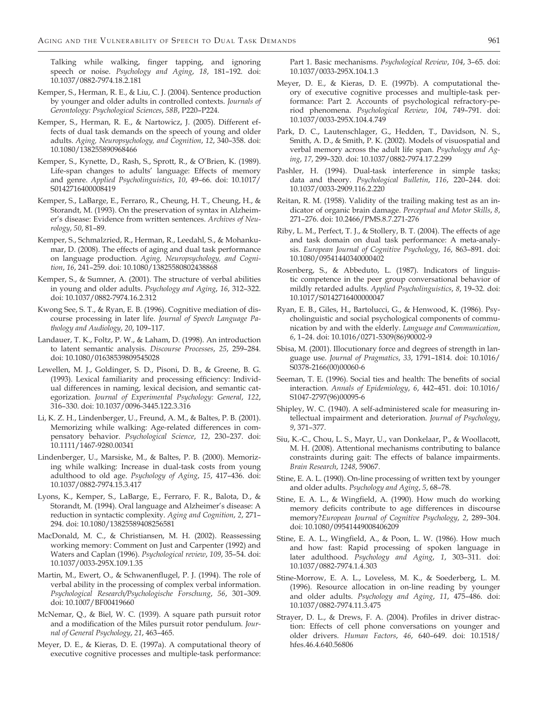Talking while walking, finger tapping, and ignoring speech or noise. *Psychology and Aging*, *18*, 181–192. doi: 10.1037/0882-7974.18.2.181

- Kemper, S., Herman, R. E., & Liu, C. J. (2004). Sentence production by younger and older adults in controlled contexts. *Journals of Gerontology: Psychological Sciences*, *58B*, P220–P224.
- Kemper, S., Herman, R. E., & Nartowicz, J. (2005). Different effects of dual task demands on the speech of young and older adults. *Aging, Neuropsychology, and Cognition*, *12*, 340–358. doi: 10.1080/138255890968466
- Kemper, S., Kynette, D., Rash, S., Sprott, R., & O'Brien, K. (1989). Life-span changes to adults' language: Effects of memory and genre. *Applied Psycholinguistics*, *10*, 49–66. doi: 10.1017/ S0142716400008419
- Kemper, S., LaBarge, E., Ferraro, R., Cheung, H. T., Cheung, H., & Storandt, M. (1993). On the preservation of syntax in Alzheimer's disease: Evidence from written sentences. *Archives of Neurology*, *50*, 81–89.
- Kemper, S., Schmalzried, R., Herman, R., Leedahl, S., & Mohankumar, D. (2008). The effects of aging and dual task performance on language production. *Aging, Neuropsychology, and Cognition*, *16*, 241–259. doi: 10.1080/13825580802438868
- Kemper, S., & Sumner, A. (2001). The structure of verbal abilities in young and older adults. *Psychology and Aging*, *16*, 312–322. doi: 10.1037/0882-7974.16.2.312
- Kwong See, S. T., & Ryan, E. B. (1996). Cognitive mediation of discourse processing in later life. *Journal of Speech Language Pathology and Audiology*, *20*, 109–117.
- Landauer, T. K., Foltz, P. W., & Laham, D. (1998). An introduction to latent semantic analysis. *Discourse Processes*, *25*, 259–284. doi: 10.1080/01638539809545028
- Lewellen, M. J., Goldinger, S. D., Pisoni, D. B., & Greene, B. G. (1993). Lexical familiarity and processing efficiency: Individual differences in naming, lexical decision, and semantic categorization. *Journal of Experimental Psychology: General*, *122*, 316–330. doi: 10.1037/0096-3445.122.3.316
- Li, K. Z. H., Lindenberger, U., Freund, A. M., & Baltes, P. B. (2001). Memorizing while walking: Age-related differences in compensatory behavior. *Psychological Science*, *12*, 230–237. doi: 10.1111/1467-9280.00341
- Lindenberger, U., Marsiske, M., & Baltes, P. B. (2000). Memorizing while walking: Increase in dual-task costs from young adulthood to old age. *Psychology of Aging*, *15*, 417–436. doi: 10.1037/0882-7974.15.3.417
- Lyons, K., Kemper, S., LaBarge, E., Ferraro, F. R., Balota, D., & Storandt, M. (1994). Oral language and Alzheimer's disease: A reduction in syntactic complexity. *Aging and Cognition*, *2*, 271– 294. doi: 10.1080/13825589408256581
- MacDonald, M. C., & Christiansen, M. H. (2002). Reassessing working memory: Comment on Just and Carpenter (1992) and Waters and Caplan (1996). *Psychological review*, *109*, 35–54. doi: 10.1037/0033-295X.109.1.35
- Martin, M., Ewert, O., & Schwanenflugel, P. J. (1994). The role of verbal ability in the processing of complex verbal information. *Psychological Research/Psychologische Forschung*, *56*, 301–309. doi: 10.1007/BF00419660
- McNemar, Q., & Biel, W. C. (1939). A square path pursuit rotor and a modification of the Miles pursuit rotor pendulum. *Journal of General Psychology*, *21*, 463–465.
- Meyer, D. E., & Kieras, D. E. (1997a). A computational theory of executive cognitive processes and multiple-task performance:

Part 1. Basic mechanisms. *Psychological Review*, *104*, 3–65. doi: 10.1037/0033-295X.104.1.3

- Meyer, D. E., & Kieras, D. E. (1997b). A computational theory of executive cognitive processes and multiple-task performance: Part 2. Accounts of psychological refractory-period phenomena. *Psychological Review*, *104*, 749–791. doi: 10.1037/0033-295X.104.4.749
- Park, D. C., Lautenschlager, G., Hedden, T., Davidson, N. S., Smith, A. D., & Smith, P. K. (2002). Models of visuospatial and verbal memory across the adult life span. *Psychology and Aging*, *17*, 299–320. doi: 10.1037/0882-7974.17.2.299
- Pashler, H. (1994). Dual-task interference in simple tasks; data and theory. *Psychological Bulletin*, *116*, 220–244. doi: 10.1037/0033-2909.116.2.220
- Reitan, R. M. (1958). Validity of the trailing making test as an indicator of organic brain damage. *Perceptual and Motor Skills*, *8*, 271–276. doi: 10.2466/PMS.8.7.271-276
- Riby, L. M., Perfect, T. J., & Stollery, B. T. (2004). The effects of age and task domain on dual task performance: A meta-analysis. *European Journal of Cognitive Psychology*, *16*, 863–891. doi: 10.1080/09541440340000402
- Rosenberg, S., & Abbeduto, L. (1987). Indicators of linguistic competence in the peer group conversational behavior of mildly retarded adults. *Applied Psycholinguistics*, *8*, 19–32. doi: 10.1017/S0142716400000047
- Ryan, E. B., Giles, H., Bartolucci, G., & Henwood, K. (1986). Psycholinguistic and social psychological components of communication by and with the elderly. *Language and Communication*, *6*, 1–24. doi: 10.1016/0271-5309(86)90002-9
- Sbisa, M. (2001). Illocutionary force and degrees of strength in language use. *Journal of Pragmatics*, *33*, 1791–1814. doi: 10.1016/ S0378-2166(00)00060-6
- Seeman, T. E. (1996). Social ties and health: The benefits of social interaction. *Annals of Epidemiology*, *6*, 442–451. doi: 10.1016/ S1047-2797(96)00095-6
- Shipley, W. C. (1940). A self-administered scale for measuring intellectual impairment and deterioration. *Journal of Psychology*, *9*, 371–377.
- Siu, K.-C., Chou, L. S., Mayr, U., van Donkelaar, P., & Woollacott, M. H. (2008). Attentional mechanisms contributing to balance constraints during gait: The effects of balance impairments. *Brain Research*, *1248*, 59067.
- Stine, E. A. L. (1990). On-line processing of written text by younger and older adults. *Psychology and Aging*, *5*, 68–78.
- Stine, E. A. L., & Wingfield, A. (1990). How much do working memory deficits contribute to age differences in discourse memory?*European Journal of Cognitive Psychology*, *2*, 289–304. doi: 10.1080/09541449008406209
- Stine, E. A. L., Wingfield, A., & Poon, L. W. (1986). How much and how fast: Rapid processing of spoken language in later adulthood. *Psychology and Aging*, *1*, 303–311. doi: 10.1037/0882-7974.1.4.303
- Stine-Morrow, E. A. L., Loveless, M. K., & Soederberg, L. M. (1996). Resource allocation in on-line reading by younger and older adults. *Psychology and Aging*, *11*, 475–486. doi: 10.1037/0882-7974.11.3.475
- Strayer, D. L., & Drews, F. A. (2004). Profiles in driver distraction: Effects of cell phone conversations on younger and older drivers. *Human Factors*, *46*, 640–649. doi: 10.1518/ hfes.46.4.640.56806